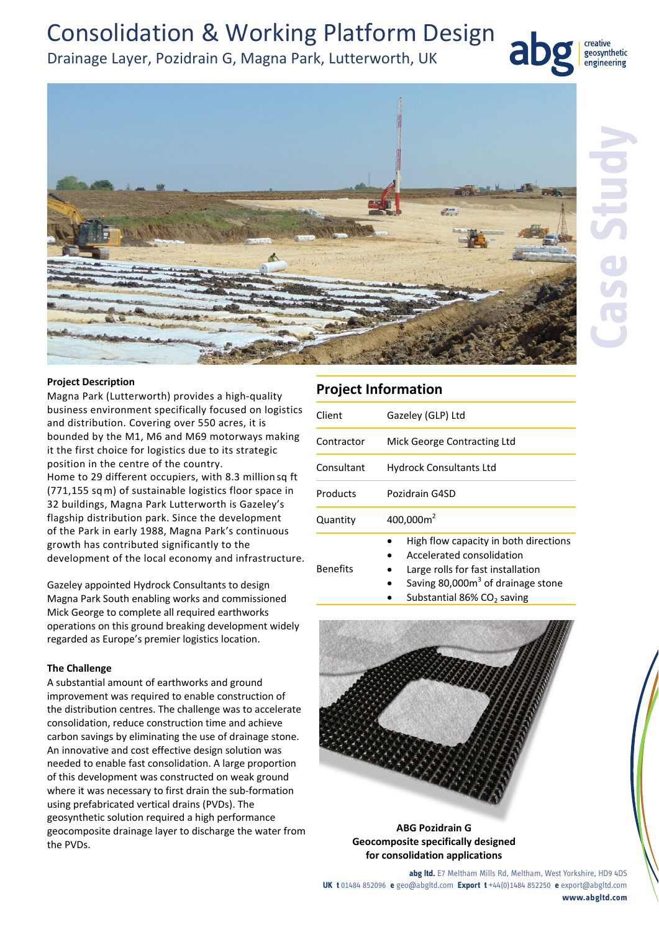## Consolidation & Working Platform Design

## Drainage Layer, Pozidrain G, Magna Park, Lutterworth, UK



geosynthetic engineering

#### **Project Description**

Magna Park (Lutterworth) provides a high‐quality business environment specifically focused on logistics and distribution. Covering over 550 acres, it is bounded by the M1, M6 and M69 motorways making it the first choice for logistics due to its strategic position in the centre of the country. Home to 29 different occupiers, with 8.3 million sq ft (771,155 sqm) of sustainable logistics floor space in 32 buildings, Magna Park Lutterworth is Gazeley's flagship distribution park. Since the development of the Park in early 1988, Magna Park's continuous growth has contributed significantly to the development of the local economy and infrastructure.

Gazeley appointed Hydrock Consultants to design Magna Park South enabling works and commissioned Mick George to complete all required earthworks operations on this ground breaking development widely regarded as Europe's premier logistics location.

#### **The Challenge**

A substantial amount of earthworks and ground improvement was required to enable construction of the distribution centres. The challenge was to accelerate consolidation, reduce construction time and achieve carbon savings by eliminating the use of drainage stone. An innovative and cost effective design solution was needed to enable fast consolidation. A large proportion of this development was constructed on weak ground where it was necessary to first drain the sub-formation using prefabricated vertical drains (PVDs). The geosynthetic solution required a high performance geocomposite drainage layer to discharge the water from the PVDs.

## **Project Information**

| Client     | Gazeley (GLP) Ltd                                                  |  |  |
|------------|--------------------------------------------------------------------|--|--|
| Contractor | Mick George Contracting Ltd                                        |  |  |
| Consultant | <b>Hydrock Consultants Ltd</b>                                     |  |  |
| Products   | Pozidrain G4SD                                                     |  |  |
| Quantity   | 400,000m <sup>2</sup>                                              |  |  |
|            | High flow capacity in both directions<br>Accelerated consolidation |  |  |

- Benefits
- Large rolls for fast installation
	- Saving 80,000m<sup>3</sup> of drainage stone
	- Substantial 86%  $CO<sub>2</sub>$  saving



#### **ABG Pozidrain G Geocomposite specifically designed for consolidation applications**

**abg ltd.** E7 Meltham Mills Rd, Meltham, West Yorkshire, HD9 4DS **UK t** 01484 852096 **e** geo@abgltd.com **Export t** +44(0)1484 852250 **e** export@abgltd.com **www.abgltd.com**